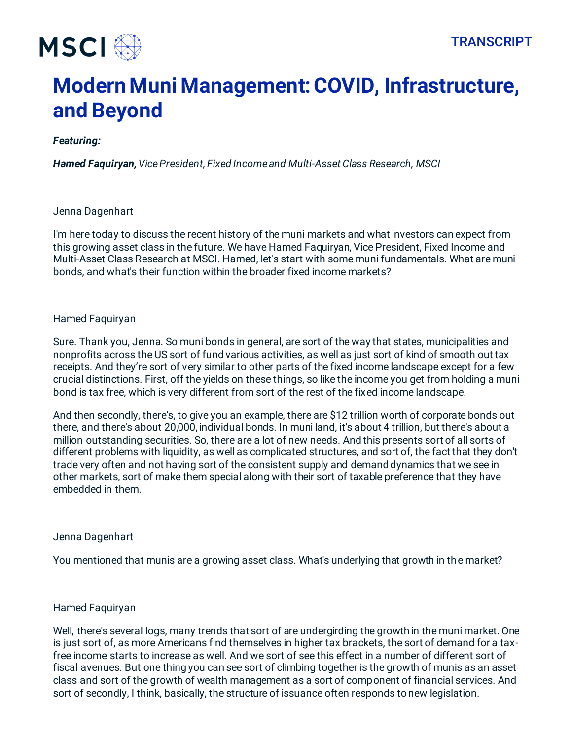

# **Modern Muni Management: COVID, Infrastructure, and Beyond**

# *Featuring:*

*Hamed Faquiryan, Vice President, Fixed Income and Multi-Asset Class Research, MSCI*

# Jenna Dagenhart

I'm here today to discuss the recent history of the muni markets and what investors can expect from this growing asset class in the future. We have Hamed Faquiryan, Vice President, Fixed Income and Multi-Asset Class Research at MSCI. Hamed, let's start with some muni fundamentals. What are muni bonds, and what's their function within the broader fixed income markets?

# Hamed Faquiryan

Sure. Thank you, Jenna. So muni bonds in general, are sort of the way that states, municipalities and nonprofits across the US sort of fund various activities, as well as just sort of kind of smooth out tax receipts. And they're sort of very similar to other parts of the fixed income landscape except for a few crucial distinctions. First, off the yields on these things, so like the income you get from holding a muni bond is tax free, which is very different from sort of the rest of the fixed income landscape.

And then secondly, there's, to give you an example, there are \$12 trillion worth of corporate bonds out there, and there's about 20,000, individual bonds. In muni land, it's about 4 trillion, but there's about a million outstanding securities. So, there are a lot of new needs. And this presents sort of all sorts of different problems with liquidity, as well as complicated structures, and sort of, the fact that they don't trade very often and not having sort of the consistent supply and demand dynamics that we see in other markets, sort of make them special along with their sort of taxable preference that they have embedded in them.

#### Jenna Dagenhart

You mentioned that munis are a growing asset class. What's underlying that growth in the market?

#### Hamed Faquiryan

Well, there's several logs, many trends that sort of are undergirding the growth in the muni market. One is just sort of, as more Americans find themselves in higher tax brackets, the sort of demand for a taxfree income starts to increase as well. And we sort of see this effect in a number of different sort of fiscal avenues. But one thing you can see sort of climbing together is the growth of munis as an asset class and sort of the growth of wealth management as a sort of component of financial services. And sort of secondly, I think, basically, the structure of issuance often responds to new legislation.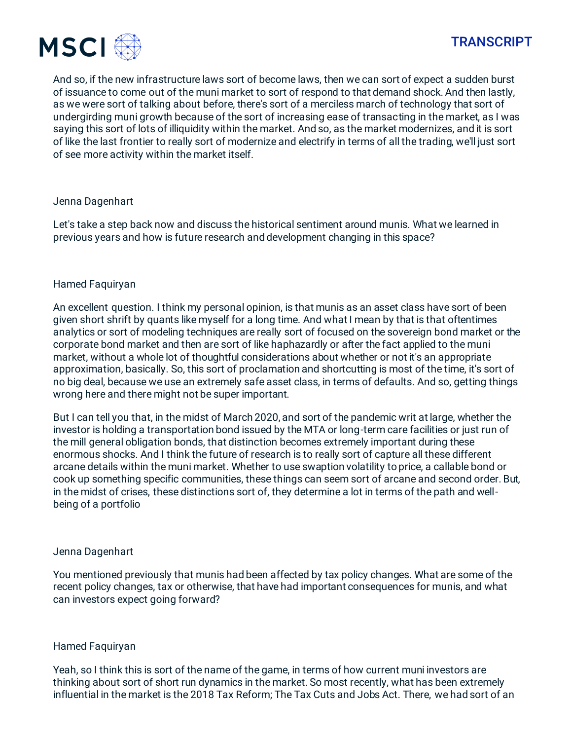

And so, if the new infrastructure laws sort of become laws, then we can sort of expect a sudden burst of issuance to come out of the muni market to sort of respond to that demand shock. And then lastly, as we were sort of talking about before, there's sort of a merciless march of technology that sort of undergirding muni growth because of the sort of increasing ease of transacting in the market, as I was saying this sort of lots of illiquidity within the market. And so, as the market modernizes, and it is sort of like the last frontier to really sort of modernize and electrify in terms of all the trading, we'll just sort of see more activity within the market itself.

# Jenna Dagenhart

Let's take a step back now and discuss the historical sentiment around munis. What we learned in previous years and how is future research and development changing in this space?

# Hamed Faquiryan

An excellent question. I think my personal opinion, is that munis as an asset class have sort of been given short shrift by quants like myself for a long time. And what I mean by that is that oftentimes analytics or sort of modeling techniques are really sort of focused on the sovereign bond market or the corporate bond market and then are sort of like haphazardly or after the fact applied to the muni market, without a whole lot of thoughtful considerations about whether or not it's an appropriate approximation, basically. So, this sort of proclamation and shortcutting is most of the time, it's sort of no big deal, because we use an extremely safe asset class, in terms of defaults. And so, getting things wrong here and there might not be super important.

But I can tell you that, in the midst of March 2020, and sort of the pandemic writ at large, whether the investor is holding a transportation bond issued by the MTA or long-term care facilities or just run of the mill general obligation bonds, that distinction becomes extremely important during these enormous shocks. And I think the future of research is to really sort of capture all these different arcane details within the muni market. Whether to use swaption volatility to price, a callable bond or cook up something specific communities, these things can seem sort of arcane and second order. But, in the midst of crises, these distinctions sort of, they determine a lot in terms of the path and wellbeing of a portfolio

#### Jenna Dagenhart

You mentioned previously that munis had been affected by tax policy changes. What are some of the recent policy changes, tax or otherwise, that have had important consequences for munis, and what can investors expect going forward?

# Hamed Faquiryan

Yeah, so I think this is sort of the name of the game, in terms of how current muni investors are thinking about sort of short run dynamics in the market. So most recently, what has been extremely influential in the market is the 2018 Tax Reform; The Tax Cuts and Jobs Act. There, we had sort of an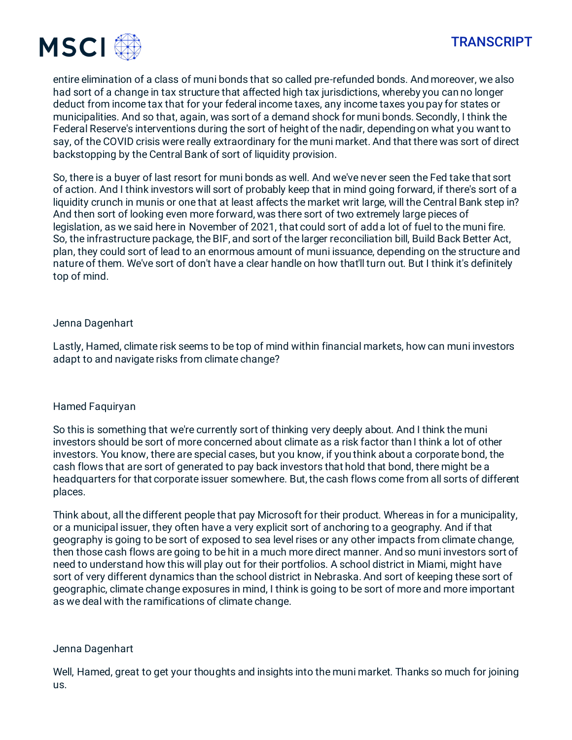



entire elimination of a class of muni bonds that so called pre-refunded bonds. And moreover, we also had sort of a change in tax structure that affected high tax jurisdictions, whereby you can no longer deduct from income tax that for your federal income taxes, any income taxes you pay for states or municipalities. And so that, again, was sort of a demand shock for muni bonds. Secondly, I think the Federal Reserve's interventions during the sort of height of the nadir, depending on what you want to say, of the COVID crisis were really extraordinary for the muni market. And that there was sort of direct backstopping by the Central Bank of sort of liquidity provision.

So, there is a buyer of last resort for muni bonds as well. And we've never seen the Fed take that sort of action. And I think investors will sort of probably keep that in mind going forward, if there's sort of a liquidity crunch in munis or one that at least affects the market writ large, will the Central Bank step in? And then sort of looking even more forward, was there sort of two extremely large pieces of legislation, as we said here in November of 2021, that could sort of add a lot of fuel to the muni fire. So, the infrastructure package, the BIF, and sort of the larger reconciliation bill, Build Back Better Act, plan, they could sort of lead to an enormous amount of muni issuance, depending on the structure and nature of them. We've sort of don't have a clear handle on how that'll turn out. But I think it's definitely top of mind.

# Jenna Dagenhart

Lastly, Hamed, climate risk seems to be top of mind within financial markets, how can muni investors adapt to and navigate risks from climate change?

#### Hamed Faquiryan

So this is something that we're currently sort of thinking very deeply about. And I think the muni investors should be sort of more concerned about climate as a risk factor than I think a lot of other investors. You know, there are special cases, but you know, if you think about a corporate bond, the cash flows that are sort of generated to pay back investors that hold that bond, there might be a headquarters for that corporate issuer somewhere. But, the cash flows come from all sorts of different places.

Think about, all the different people that pay Microsoft for their product. Whereas in for a municipality, or a municipal issuer, they often have a very explicit sort of anchoring to a geography. And if that geography is going to be sort of exposed to sea level rises or any other impacts from climate change, then those cash flows are going to be hit in a much more direct manner. And so muni investors sort of need to understand how this will play out for their portfolios. A school district in Miami, might have sort of very different dynamics than the school district in Nebraska. And sort of keeping these sort of geographic, climate change exposures in mind, I think is going to be sort of more and more important as we deal with the ramifications of climate change.

#### Jenna Dagenhart

Well, Hamed, great to get your thoughts and insights into the muni market. Thanks so much for joining us.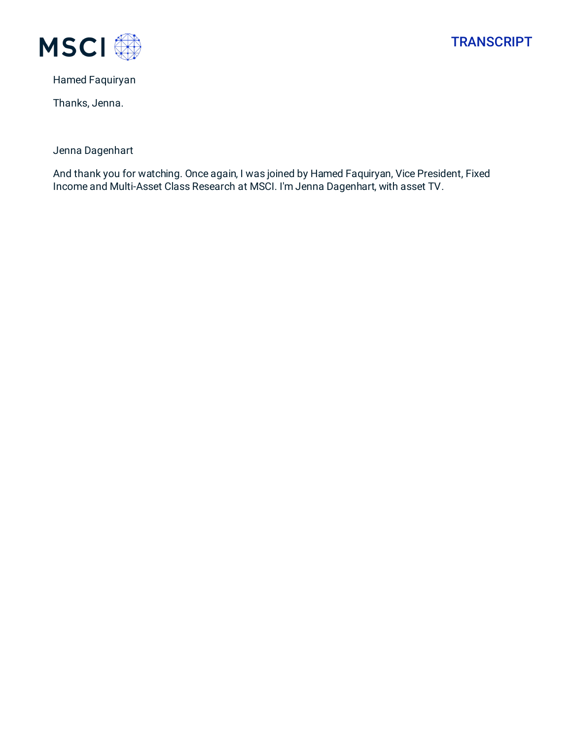



Hamed Faquiryan

Thanks, Jenna.

Jenna Dagenhart

And thank you for watching. Once again, I was joined by Hamed Faquiryan, Vice President, Fixed Income and Multi-Asset Class Research at MSCI. I'm Jenna Dagenhart, with asset TV.